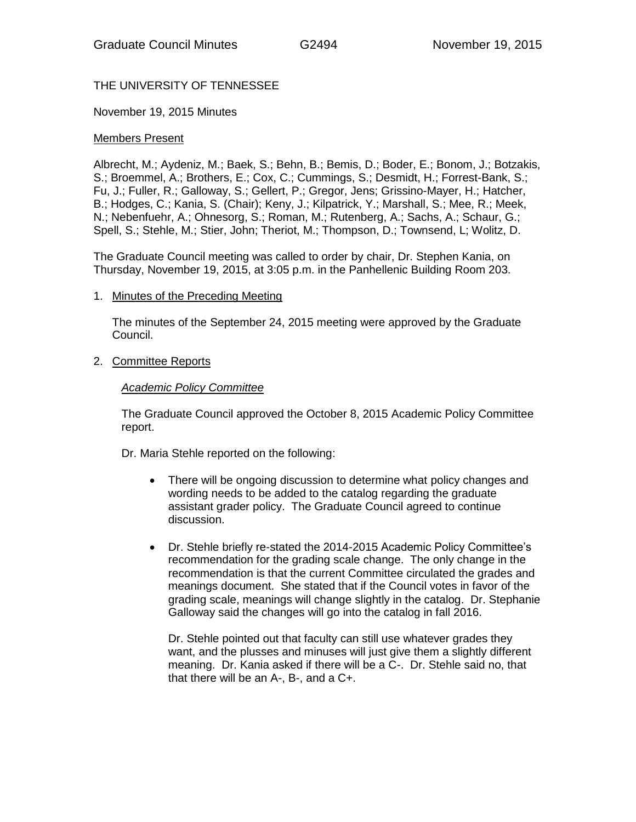# THE UNIVERSITY OF TENNESSEE

### November 19, 2015 Minutes

### Members Present

Albrecht, M.; Aydeniz, M.; Baek, S.; Behn, B.; Bemis, D.; Boder, E.; Bonom, J.; Botzakis, S.; Broemmel, A.; Brothers, E.; Cox, C.; Cummings, S.; Desmidt, H.; Forrest-Bank, S.; Fu, J.; Fuller, R.; Galloway, S.; Gellert, P.; Gregor, Jens; Grissino-Mayer, H.; Hatcher, B.; Hodges, C.; Kania, S. (Chair); Keny, J.; Kilpatrick, Y.; Marshall, S.; Mee, R.; Meek, N.; Nebenfuehr, A.; Ohnesorg, S.; Roman, M.; Rutenberg, A.; Sachs, A.; Schaur, G.; Spell, S.; Stehle, M.; Stier, John; Theriot, M.; Thompson, D.; Townsend, L; Wolitz, D.

The Graduate Council meeting was called to order by chair, Dr. Stephen Kania, on Thursday, November 19, 2015, at 3:05 p.m. in the Panhellenic Building Room 203.

### 1. Minutes of the Preceding Meeting

The minutes of the September 24, 2015 meeting were approved by the Graduate Council.

### 2. Committee Reports

#### *Academic Policy Committee*

The Graduate Council approved the October 8, 2015 Academic Policy Committee report.

Dr. Maria Stehle reported on the following:

- There will be ongoing discussion to determine what policy changes and wording needs to be added to the catalog regarding the graduate assistant grader policy. The Graduate Council agreed to continue discussion.
- Dr. Stehle briefly re-stated the 2014-2015 Academic Policy Committee's recommendation for the grading scale change. The only change in the recommendation is that the current Committee circulated the grades and meanings document. She stated that if the Council votes in favor of the grading scale, meanings will change slightly in the catalog. Dr. Stephanie Galloway said the changes will go into the catalog in fall 2016.

Dr. Stehle pointed out that faculty can still use whatever grades they want, and the plusses and minuses will just give them a slightly different meaning. Dr. Kania asked if there will be a C-. Dr. Stehle said no, that that there will be an A-, B-, and a C+.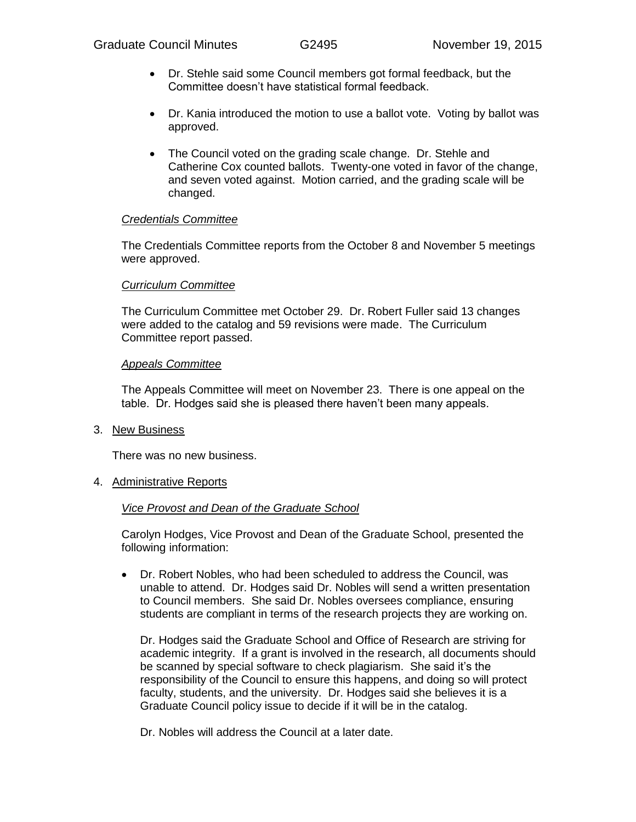- Dr. Stehle said some Council members got formal feedback, but the Committee doesn't have statistical formal feedback.
- Dr. Kania introduced the motion to use a ballot vote. Voting by ballot was approved.
- The Council voted on the grading scale change. Dr. Stehle and Catherine Cox counted ballots. Twenty-one voted in favor of the change, and seven voted against. Motion carried, and the grading scale will be changed.

### *Credentials Committee*

The Credentials Committee reports from the October 8 and November 5 meetings were approved.

### *Curriculum Committee*

The Curriculum Committee met October 29. Dr. Robert Fuller said 13 changes were added to the catalog and 59 revisions were made. The Curriculum Committee report passed.

## *Appeals Committee*

The Appeals Committee will meet on November 23. There is one appeal on the table. Dr. Hodges said she is pleased there haven't been many appeals.

3. New Business

There was no new business.

4. Administrative Reports

### *Vice Provost and Dean of the Graduate School*

Carolyn Hodges, Vice Provost and Dean of the Graduate School, presented the following information:

 Dr. Robert Nobles, who had been scheduled to address the Council, was unable to attend. Dr. Hodges said Dr. Nobles will send a written presentation to Council members. She said Dr. Nobles oversees compliance, ensuring students are compliant in terms of the research projects they are working on.

Dr. Hodges said the Graduate School and Office of Research are striving for academic integrity. If a grant is involved in the research, all documents should be scanned by special software to check plagiarism. She said it's the responsibility of the Council to ensure this happens, and doing so will protect faculty, students, and the university. Dr. Hodges said she believes it is a Graduate Council policy issue to decide if it will be in the catalog.

Dr. Nobles will address the Council at a later date.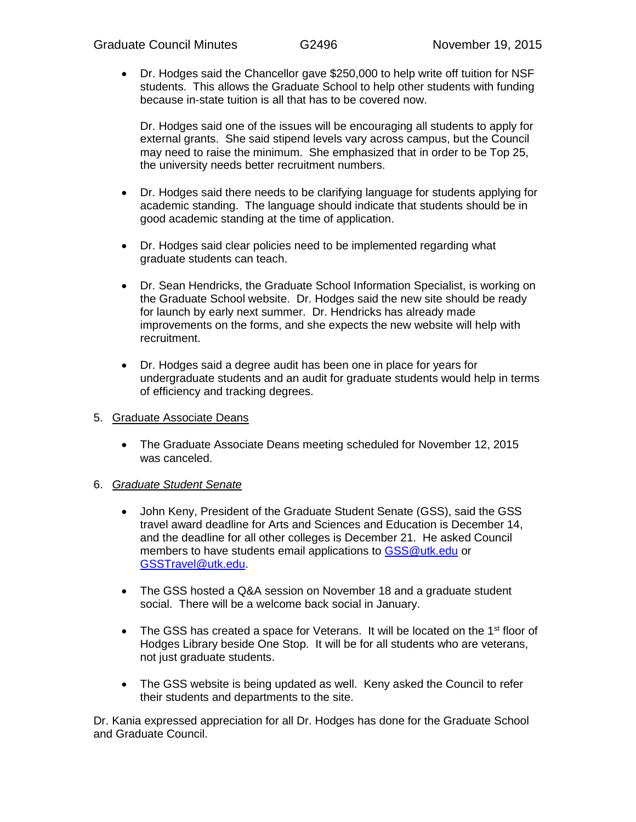Dr. Hodges said the Chancellor gave \$250,000 to help write off tuition for NSF students. This allows the Graduate School to help other students with funding because in-state tuition is all that has to be covered now.

Dr. Hodges said one of the issues will be encouraging all students to apply for external grants. She said stipend levels vary across campus, but the Council may need to raise the minimum. She emphasized that in order to be Top 25, the university needs better recruitment numbers.

- Dr. Hodges said there needs to be clarifying language for students applying for academic standing. The language should indicate that students should be in good academic standing at the time of application.
- Dr. Hodges said clear policies need to be implemented regarding what graduate students can teach.
- Dr. Sean Hendricks, the Graduate School Information Specialist, is working on the Graduate School website. Dr. Hodges said the new site should be ready for launch by early next summer. Dr. Hendricks has already made improvements on the forms, and she expects the new website will help with recruitment.
- Dr. Hodges said a degree audit has been one in place for years for undergraduate students and an audit for graduate students would help in terms of efficiency and tracking degrees.
- 5. Graduate Associate Deans
	- The Graduate Associate Deans meeting scheduled for November 12, 2015 was canceled.

### 6. *Graduate Student Senate*

- John Keny, President of the Graduate Student Senate (GSS), said the GSS travel award deadline for Arts and Sciences and Education is December 14, and the deadline for all other colleges is December 21. He asked Council members to have students email applications to [GSS@utk.edu](mailto:GSS@utk.edu) or [GSSTravel@utk.edu.](mailto:GSSTravel@utk.edu)
- The GSS hosted a Q&A session on November 18 and a graduate student social. There will be a welcome back social in January.
- $\bullet$  The GSS has created a space for Veterans. It will be located on the 1<sup>st</sup> floor of Hodges Library beside One Stop. It will be for all students who are veterans, not just graduate students.
- The GSS website is being updated as well. Keny asked the Council to refer their students and departments to the site.

Dr. Kania expressed appreciation for all Dr. Hodges has done for the Graduate School and Graduate Council.